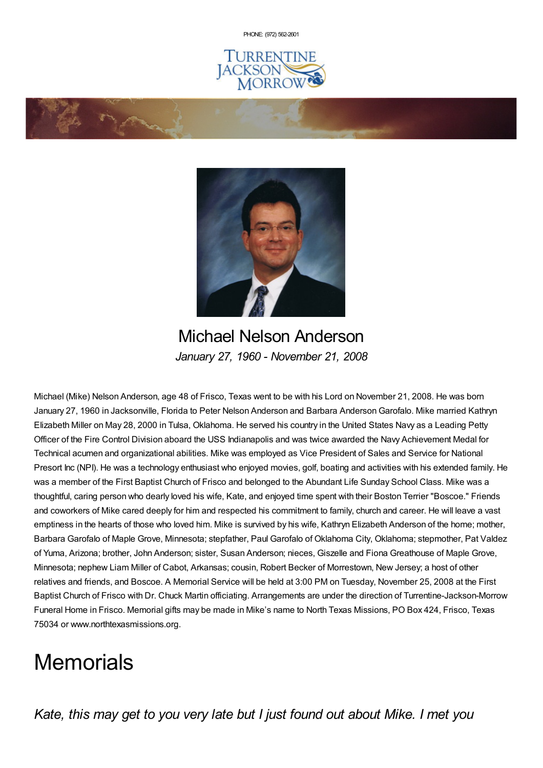PHONE: (972) [562-2601](tel:(972) 562-2601)







Michael Nelson Anderson *January 27, 1960 - November 21, 2008*

Michael (Mike) Nelson Anderson, age 48 of Frisco, Texas went to be with his Lord on November 21, 2008. He was born January 27, 1960 in Jacksonville, Florida to Peter Nelson Anderson and Barbara AndersonGarofalo. Mike married Kathryn Elizabeth Miller on May 28, 2000 in Tulsa, Oklahoma. He served his country in the United States Navy as a Leading Petty Officer of the Fire Control Division aboard the USS Indianapolis and was twice awarded the Navy Achievement Medal for Technical acumen and organizational abilities. Mike was employed as Vice President of Sales and Service for National Presort Inc (NPI). He was a technology enthusiast who enjoyed movies, golf, boating and activities with his extended family. He was a member of the First Baptist Church of Frisco and belonged to the Abundant Life Sunday School Class. Mike was a thoughtful, caring person who dearly loved his wife, Kate, and enjoyed time spent with their Boston Terrier "Boscoe." Friends and coworkers of Mike cared deeply for him and respected his commitment to family, church and career. He will leave a vast emptiness in the hearts of those who loved him. Mike is survived by his wife, Kathryn Elizabeth Anderson of the home; mother, Barbara Garofalo of Maple Grove, Minnesota; stepfather, Paul Garofalo of Oklahoma City, Oklahoma; stepmother, Pat Valdez of Yuma, Arizona; brother, John Anderson; sister, Susan Anderson; nieces, Giszelle and Fiona Greathouse of Maple Grove, Minnesota; nephew Liam Miller of Cabot, Arkansas; cousin, Robert Becker of Morrestown, New Jersey; a host of other relatives and friends, and Boscoe. A Memorial Service will be held at 3:00 PM on Tuesday, November 25, 2008 at the First Baptist Church of Frisco with Dr. Chuck Martin officiating. Arrangements are under the direction of Turrentine-Jackson-Morrow Funeral Home in Frisco. Memorial gifts may be made in Mike's name to North Texas Missions, PO Box 424, Frisco, Texas 75034 or www.northtexasmissions.org.

# **Memorials**

*Kate, this may get to you very late but I just found out about Mike. I met you*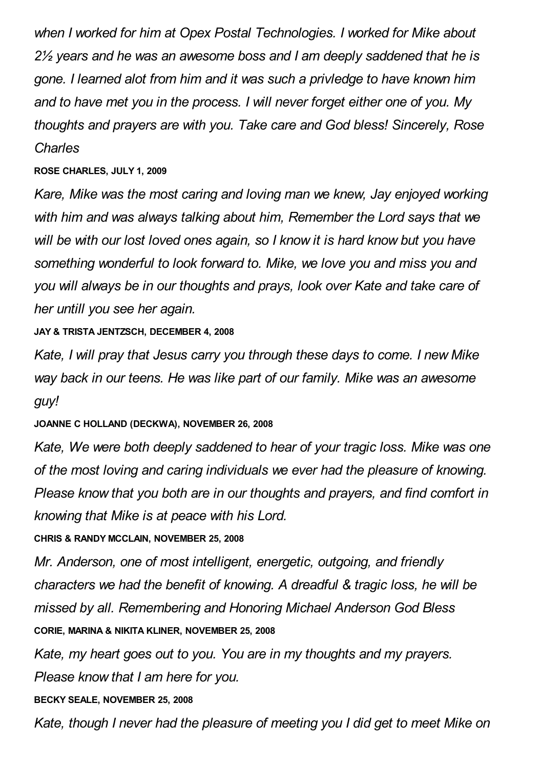*when I worked for him at Opex Postal Technologies. I worked for Mike about 2½ years and he was an awesome boss and I am deeply saddened that he is gone. I learned alot from him and it was such a privledge to have known him and to have met you in the process. I will never forget either one of you. My thoughts and prayers are with you. Take care and God bless! Sincerely, Rose Charles*

**ROSE CHARLES, JULY 1, 2009**

*Kare, Mike was the most caring and loving man we knew, Jay enjoyed working with him and was always talking about him, Remember the Lord says that we will be with our lost loved ones again, so I know it is hard know but you have something wonderful to look forward to. Mike, we love you and miss you and you will always be in our thoughts and prays, look over Kate and take care of her untill you see her again.*

**JAY & TRISTA JENTZSCH, DECEMBER 4, 2008**

*Kate, I will pray that Jesus carry you through these days to come. I new Mike way back in our teens. He was like part of our family. Mike was an awesome guy!*

**JOANNE C HOLLAND (DECKWA), NOVEMBER 26, 2008**

*Kate, We were both deeply saddened to hear of your tragic loss. Mike was one of the most loving and caring individuals we ever had the pleasure of knowing. Please know that you both are in our thoughts and prayers, and find comfort in knowing that Mike is at peace with his Lord.*

**CHRIS & RANDY MCCLAIN, NOVEMBER 25, 2008**

*Mr. Anderson, one of most intelligent, energetic, outgoing, and friendly characters we had the benefit of knowing. A dreadful & tragic loss, he will be missed by all. Remembering and Honoring Michael Anderson God Bless* **CORIE, MARINA & NIKITA KLINER, NOVEMBER 25, 2008**

*Kate, my heart goes out to you. You are in my thoughts and my prayers. Please know that I am here for you.*

**BECKY SEALE, NOVEMBER 25, 2008**

*Kate, though I never had the pleasure of meeting you I did get to meet Mike on*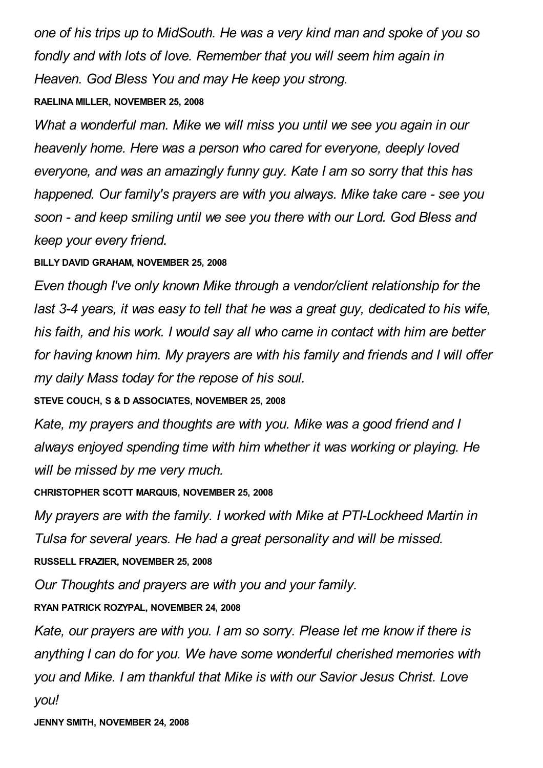*one of his trips up to MidSouth. He was a very kind man and spoke of you so fondly and with lots of love. Remember that you will seem him again in Heaven. God Bless You and may He keep you strong.*

#### **RAELINA MILLER, NOVEMBER 25, 2008**

*What a wonderful man. Mike we will miss you until we see you again in our heavenly home. Here was a person who cared for everyone, deeply loved everyone, and was an amazingly funny guy. Kate I am so sorry that this has happened. Our family's prayers are with you always. Mike take care - see you soon - and keep smiling until we see you there with our Lord. God Bless and keep your every friend.*

**BILLY DAVID GRAHAM, NOVEMBER 25, 2008**

*Even though I've only known Mike through a vendor/client relationship for the last 3-4 years, it was easy to tell that he was a great guy, dedicated to his wife, his faith, and his work. I would say all who came in contact with him are better for having known him. My prayers are with his family and friends and I will offer my daily Mass today for the repose of his soul.*

**STEVE COUCH, S & D ASSOCIATES, NOVEMBER 25, 2008**

*Kate, my prayers and thoughts are with you. Mike was a good friend and I always enjoyed spending time with him whether it was working or playing. He will be missed by me very much.*

**CHRISTOPHER SCOTT MARQUIS, NOVEMBER 25, 2008**

*My prayers are with the family. I worked with Mike at PTI-Lockheed Martin in Tulsa for several years. He had a great personality and will be missed.* **RUSSELL FRAZIER, NOVEMBER 25, 2008**

*Our Thoughts and prayers are with you and your family.*

**RYAN PATRICK ROZYPAL, NOVEMBER 24, 2008**

*Kate, our prayers are with you. I am so sorry. Please let me know if there is anything I can do for you. We have some wonderful cherished memories with you and Mike. I am thankful that Mike is with our Savior Jesus Christ. Love you!*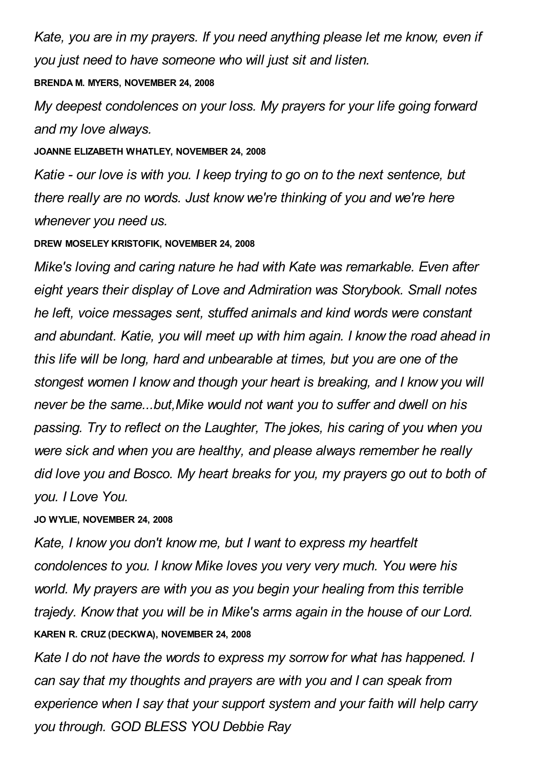*Kate, you are in my prayers. If you need anything please let me know, even if you just need to have someone who will just sit and listen.*

#### **BRENDA M. MYERS, NOVEMBER 24, 2008**

*My deepest condolences on your loss. My prayers for your life going forward and my love always.*

#### **JOANNE ELIZABETH WHATLEY, NOVEMBER 24, 2008**

*Katie - our love is with you. I keep trying to go on to the next sentence, but there really are no words. Just know we're thinking of you and we're here whenever you need us.*

#### **DREW MOSELEY KRISTOFIK, NOVEMBER 24, 2008**

*Mike's loving and caring nature he had with Kate was remarkable. Even after eight years their display of Love and Admiration was Storybook. Small notes he left, voice messages sent, stuffed animals and kind words were constant and abundant. Katie, you will meet up with him again. I know the road ahead in this life will be long, hard and unbearable at times, but you are one of the stongest women I know and though your heart is breaking, and I know you will never be the same...but,Mike would not want you to suffer and dwell on his passing. Try to reflect on the Laughter, The jokes, his caring of you when you were sick and when you are healthy, and please always remember he really did love you and Bosco. My heart breaks for you, my prayers go out to both of you. I Love You.*

#### **JO WYLIE, NOVEMBER 24, 2008**

*Kate, I know you don't know me, but I want to express my heartfelt condolences to you. I know Mike loves you very very much. You were his world. My prayers are with you as you begin your healing from this terrible trajedy. Know that you will be in Mike's arms again in the house of our Lord.* **KAREN R. CRUZ (DECKWA), NOVEMBER 24, 2008**

*Kate I do not have the words to express my sorrow for what has happened. I can say that my thoughts and prayers are with you and I can speak from experience when I say that your support system and your faith will help carry you through. GOD BLESS YOU Debbie Ray*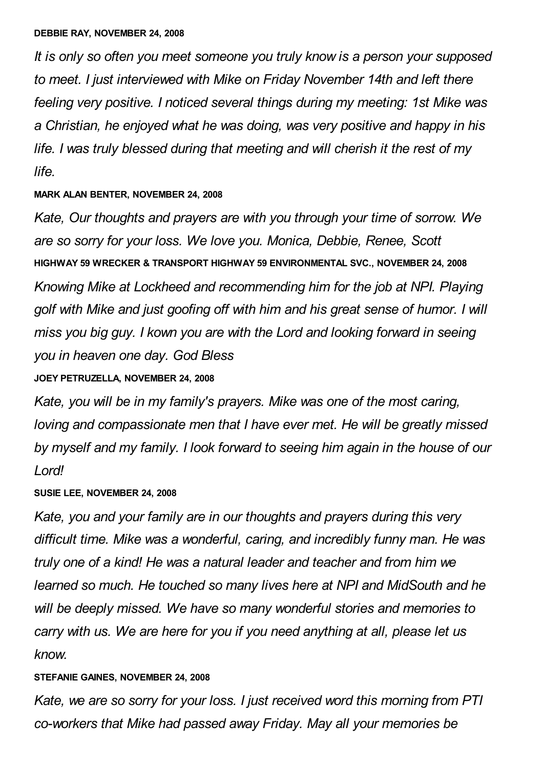*It is only so often you meet someone you truly know is a person your supposed to meet. I just interviewed with Mike on Friday November 14th and left there feeling very positive. I noticed several things during my meeting: 1st Mike was a Christian, he enjoyed what he was doing, was very positive and happy in his life. I was truly blessed during that meeting and will cherish it the rest of my life.*

### **MARK ALAN BENTER, NOVEMBER 24, 2008**

*Kate, Our thoughts and prayers are with you through your time of sorrow. We are so sorry for your loss. We love you. Monica, Debbie, Renee, Scott* **HIGHWAY 59 WRECKER & TRANSPORT HIGHWAY 59 ENVIRONMENTAL SVC., NOVEMBER 24, 2008** *Knowing Mike at Lockheed and recommending him for the job at NPI. Playing golf with Mike and just goofing off with him and his great sense of humor. I will miss you big guy. I kown you are with the Lord and looking forward in seeing you in heaven one day. God Bless*

### **JOEY PETRUZELLA, NOVEMBER 24, 2008**

*Kate, you will be in my family's prayers. Mike was one of the most caring, loving and compassionate men that I have ever met. He will be greatly missed by myself and my family. I look forward to seeing him again in the house of our Lord!*

# **SUSIE LEE, NOVEMBER 24, 2008**

*Kate, you and your family are in our thoughts and prayers during this very difficult time. Mike was a wonderful, caring, and incredibly funny man. He was truly one of a kind! He was a natural leader and teacher and from him we learned so much. He touched so many lives here at NPI and MidSouth and he will be deeply missed. We have so many wonderful stories and memories to carry with us. We are here for you if you need anything at all, please let us know.*

# **STEFANIE GAINES, NOVEMBER 24, 2008**

*Kate, we are so sorry for your loss. I just received word this morning from PTI co-workers that Mike had passed away Friday. May all your memories be*